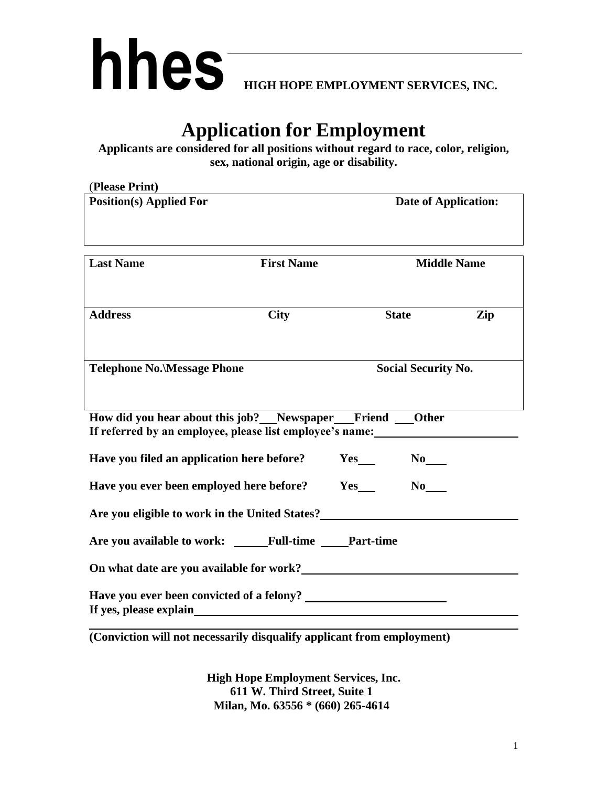

# **Application for Employment**

**Applicants are considered for all positions without regard to race, color, religion, sex, national origin, age or disability.**

| (Please Print)                                                                                                                                                    |                   |     |                             |                    |
|-------------------------------------------------------------------------------------------------------------------------------------------------------------------|-------------------|-----|-----------------------------|--------------------|
| <b>Position(s) Applied For</b>                                                                                                                                    |                   |     | <b>Date of Application:</b> |                    |
| <b>Last Name</b>                                                                                                                                                  | <b>First Name</b> |     |                             | <b>Middle Name</b> |
| <b>Address</b>                                                                                                                                                    | <b>City</b>       |     | <b>State</b>                | Zip                |
| <b>Telephone No. Message Phone</b>                                                                                                                                |                   |     | <b>Social Security No.</b>  |                    |
| How did you hear about this job? Newspaper Friend Other<br>If referred by an employee, please list employee's name:<br>Have you filed an application here before? |                   |     | $No$ <sub>____</sub>        |                    |
| Have you ever been employed here before?                                                                                                                          |                   | Yes |                             |                    |
| Are you eligible to work in the United States?<br><u>Letter and the United States?</u><br>Are you available to work: Full-time Part-time                          |                   |     |                             |                    |
|                                                                                                                                                                   |                   |     |                             |                    |

**(Conviction will not necessarily disqualify applicant from employment)**

**High Hope Employment Services, Inc. 611 W. Third Street, Suite 1 Milan, Mo. 63556 \* (660) 265-4614**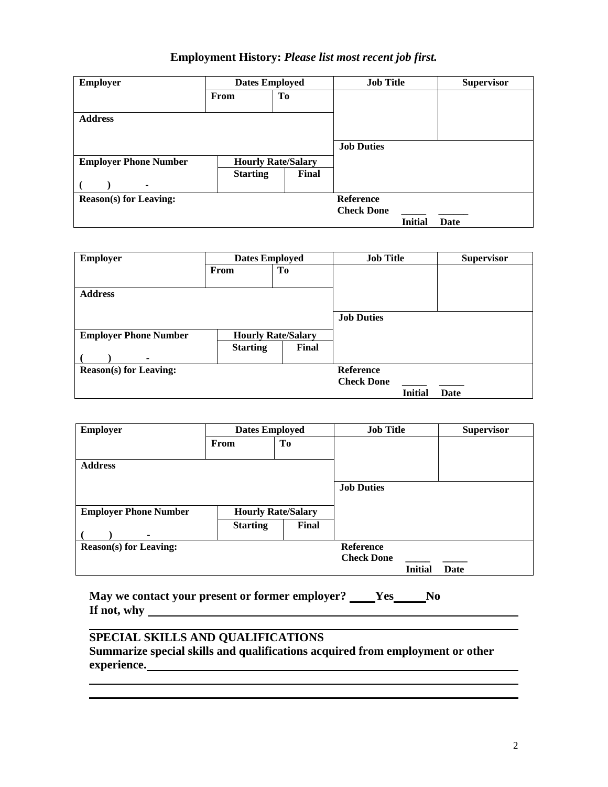### **Employment History:** *Please list most recent job first.*

| <b>Employer</b>               | <b>Dates Employed</b>     |       | <b>Job Title</b>  |                | <b>Supervisor</b> |
|-------------------------------|---------------------------|-------|-------------------|----------------|-------------------|
|                               | From                      | Tо    |                   |                |                   |
|                               |                           |       |                   |                |                   |
| <b>Address</b>                |                           |       |                   |                |                   |
|                               |                           |       |                   |                |                   |
|                               |                           |       | <b>Job Duties</b> |                |                   |
| <b>Employer Phone Number</b>  | <b>Hourly Rate/Salary</b> |       |                   |                |                   |
|                               | <b>Starting</b>           | Final |                   |                |                   |
| ۰                             |                           |       |                   |                |                   |
| <b>Reason(s)</b> for Leaving: |                           |       | <b>Reference</b>  |                |                   |
|                               |                           |       | <b>Check Done</b> |                |                   |
|                               |                           |       |                   | <b>Initial</b> | Date              |

| <b>Employer</b>               | <b>Dates Employed</b>     |       | <b>Job Title</b>  |                | <b>Supervisor</b> |
|-------------------------------|---------------------------|-------|-------------------|----------------|-------------------|
|                               | From                      | To    |                   |                |                   |
|                               |                           |       |                   |                |                   |
| <b>Address</b>                |                           |       |                   |                |                   |
|                               |                           |       |                   |                |                   |
|                               |                           |       | <b>Job Duties</b> |                |                   |
| <b>Employer Phone Number</b>  | <b>Hourly Rate/Salary</b> |       |                   |                |                   |
|                               | <b>Starting</b>           | Final |                   |                |                   |
|                               |                           |       |                   |                |                   |
| <b>Reason(s)</b> for Leaving: |                           |       | <b>Reference</b>  |                |                   |
|                               |                           |       | <b>Check Done</b> |                |                   |
|                               |                           |       |                   | <b>Initial</b> | Date              |

| <b>Employer</b>               | <b>Dates Employed</b>     |       | <b>Job Title</b>  |         | <b>Supervisor</b> |
|-------------------------------|---------------------------|-------|-------------------|---------|-------------------|
|                               | From                      | To    |                   |         |                   |
| <b>Address</b>                |                           |       |                   |         |                   |
|                               |                           |       | <b>Job Duties</b> |         |                   |
| <b>Employer Phone Number</b>  | <b>Hourly Rate/Salary</b> |       |                   |         |                   |
|                               | <b>Starting</b>           | Final |                   |         |                   |
| <b>Reason(s)</b> for Leaving: |                           |       | <b>Reference</b>  |         |                   |
|                               |                           |       | <b>Check Done</b> |         |                   |
|                               |                           |       |                   | Initial | Date              |

**May we contact your present or former employer? Yes No If not, why** 

## **SPECIAL SKILLS AND QUALIFICATIONS**

**Summarize special skills and qualifications acquired from employment or other experience.**

<u> 1989 - Johann Barbara, martin a</u>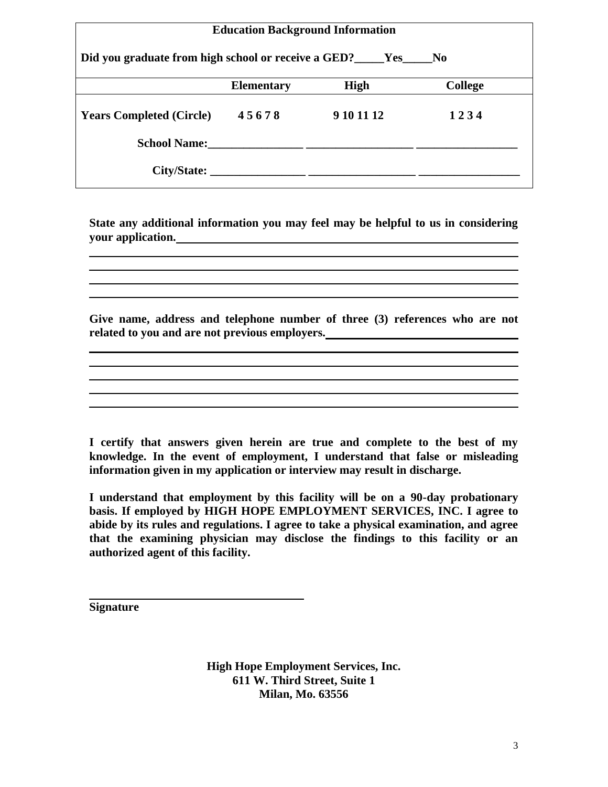| <b>Education Background Information</b>                                        |                   |                                                                                                                                                                                                                                |                |  |
|--------------------------------------------------------------------------------|-------------------|--------------------------------------------------------------------------------------------------------------------------------------------------------------------------------------------------------------------------------|----------------|--|
| Did you graduate from high school or receive a GED? _____Yes<br>N <sub>0</sub> |                   |                                                                                                                                                                                                                                |                |  |
|                                                                                | <b>Elementary</b> | High                                                                                                                                                                                                                           | <b>College</b> |  |
| <b>Years Completed (Circle)</b>                                                | 45678             | 9 10 11 12                                                                                                                                                                                                                     | 1234           |  |
|                                                                                |                   | School Name: 2008. [19] December 2008. [19] December 2008. [19] December 2008. [19] December 2008. [19] December 2008. [19] December 2008. [19] December 2008. [19] December 2008. [19] December 2008. [19] December 2008. [19 |                |  |
|                                                                                | City/State:       |                                                                                                                                                                                                                                |                |  |

**State any additional information you may feel may be helpful to us in considering your application.**

**Give name, address and telephone number of three (3) references who are not related to you and are not previous employers.**

**I certify that answers given herein are true and complete to the best of my knowledge. In the event of employment, I understand that false or misleading information given in my application or interview may result in discharge.**

**I understand that employment by this facility will be on a 90-day probationary basis. If employed by HIGH HOPE EMPLOYMENT SERVICES, INC. I agree to abide by its rules and regulations. I agree to take a physical examination, and agree that the examining physician may disclose the findings to this facility or an authorized agent of this facility.**

**Signature**

**High Hope Employment Services, Inc. 611 W. Third Street, Suite 1 Milan, Mo. 63556**